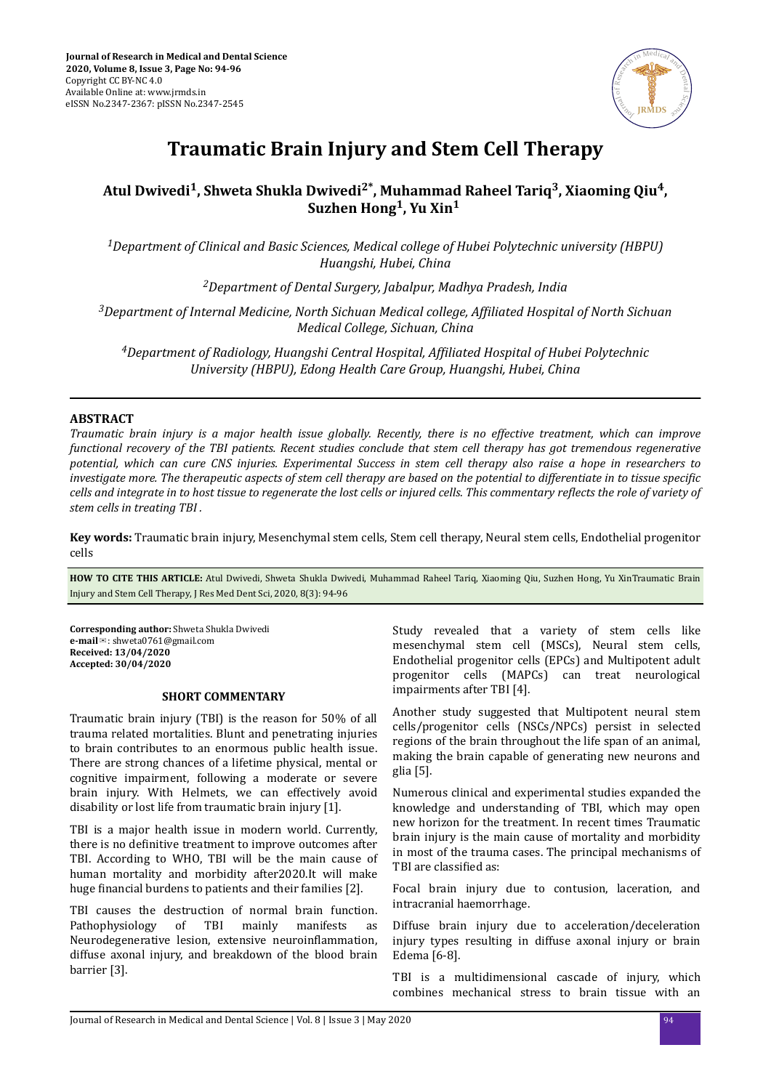

# **Traumatic Brain Injury and Stem Cell Therapy**

# **Atul Dwivedi<sup>1</sup> , Shweta Shukla Dwivedi2\*, Muhammad Raheel Tariq<sup>3</sup> , Xiaoming Qiu<sup>4</sup> , Suzhen Hong<sup>1</sup> , Yu Xin<sup>1</sup>**

*<sup>1</sup>Department of Clinical and Basic Sciences, Medical college of Hubei Polytechnic university (HBPU) Huangshi, Hubei, China*

*<sup>2</sup>Department of Dental Surgery, Jabalpur, Madhya Pradesh, India*

*3Department of Internal Medicine, North Sichuan Medical college, Affiliated Hospital of North Sichuan Medical College, Sichuan, China*

*<sup>4</sup>Department of Radiology, Huangshi Central Hospital, fϔted Hospital of Hubei Polytechnic University (HBPU), Edong Health Care Group, Huangshi, Hubei, China*

## **ABSTRACT**

*Traumatic brain injury is a major health issue globally. Recently, there is no effective treatment, which can improve functional recovery of the TBI patients. Recent studies conclude that stem cell therapy has got tremendous regenerative potential, which can cure CNS injuries. Experimental Success in stem cell therapy also raise a hope in researchers to investigate more. The therapeutic aspects of stem cell therapy are based on the potential to differentiate in to tissue specific cells and integrate in to host tissue to regenerate the lost cells or injured cells. This commentary reϔects the role of variety of stem cells in treating TBI .*

**Key words:** Traumatic brain injury, Mesenchymal stem cells, Stem cell therapy, Neural stem cells, Endothelial progenitor cells

**HOW TO CITE THIS ARTICLE:** Atul Dwivedi, Shweta Shukla Dwivedi, Muhammad Raheel Tariq, Xiaoming Qiu, Suzhen Hong, Yu XinTraumatic Brain Injury and Stem Cell Therapy, J Res Med Dent Sci, 2020, 8(3): 94-96

**Corresponding author:** Shweta Shukla Dwivedi **e-mail**✉: shweta0761@gmail.com **Received: 13/04/2020 Accepted: 30/04/2020** 

#### **SHORT COMMENTARY**

Traumatic brain injury (TBI) is the reason for 50% of all trauma related mortalities. Blunt and penetrating injuries to brain contributes to an enormous public health issue. There are strong chances of a lifetime physical, mental or cognitive impairment, following a moderate or severe brain injury. With Helmets, we can effectively avoid disability or lost life from traumatic brain injury [1].

TBI is a major health issue in modern world. Currently, there is no definitive treatment to improve outcomes after TBI. According to WHO, TBI will be the main cause of human mortality and morbidity after2020.It will make huge financial burdens to patients and their families [2].

TBI causes the destruction of normal brain function. Pathophysiology of TBI mainly manifests as Neurodegenerative lesion, extensive neuroinflammation, diffuse axonal injury, and breakdown of the blood brain barrier [3].

Study revealed that a variety of stem cells like mesenchymal stem cell (MSCs), Neural stem cells, Endothelial progenitor cells (EPCs) and Multipotent adult progenitor cells (MAPCs) can treat neurological impairments after TBI [4].

Another study suggested that Multipotent neural stem cells/progenitor cells (NSCs/NPCs) persist in selected regions of the brain throughout the life span of an animal, making the brain capable of generating new neurons and glia [5].

Numerous clinical and experimental studies expanded the knowledge and understanding of TBI, which may open new horizon for the treatment. In recent times Traumatic brain injury is the main cause of mortality and morbidity in most of the trauma cases. The principal mechanisms of TBI are classified as:

Focal brain injury due to contusion, laceration, and intracranial haemorrhage.

Diffuse brain injury due to acceleration/deceleration injury types resulting in diffuse axonal injury or brain Edema [6-8].

TBI is a multidimensional cascade of injury, which combines mechanical stress to brain tissue with an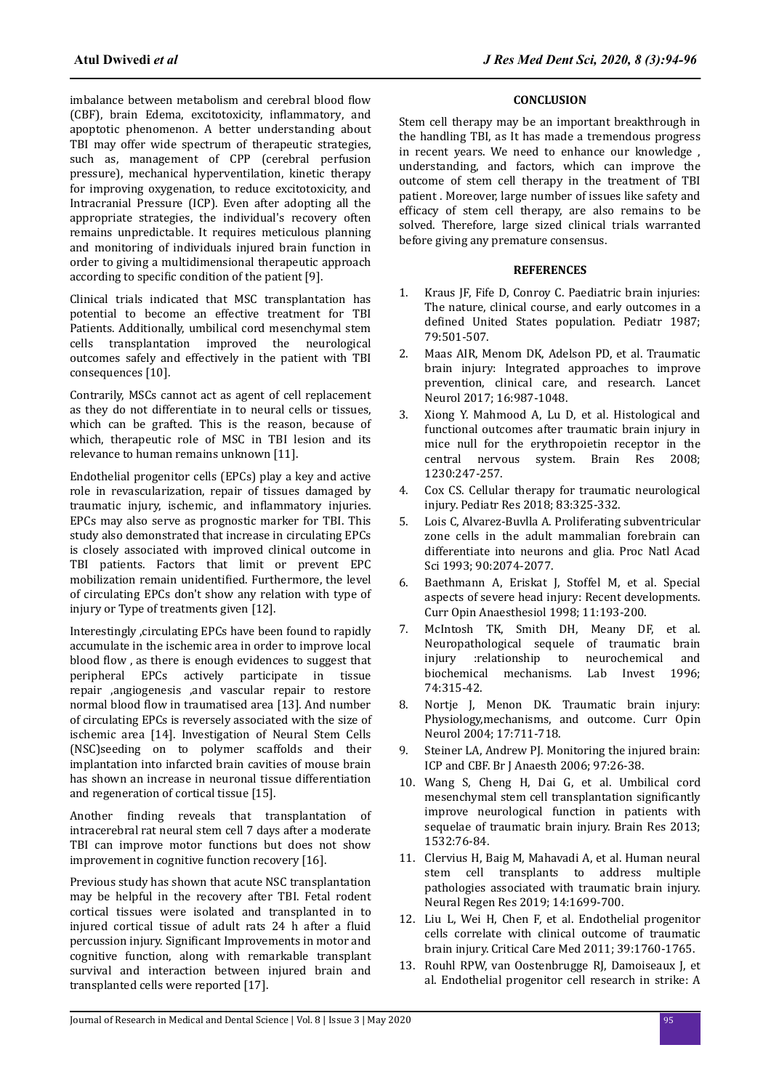imbalance between metabolism and cerebral blood flow (CBF), brain Edema, excitotoxicity, inflammatory, and apoptotic phenomenon. A better understanding about TBI may offer wide spectrum of therapeutic strategies, such as, management of CPP (cerebral perfusion pressure), mechanical hyperventilation, kinetic therapy for improving oxygenation, to reduce excitotoxicity, and Intracranial Pressure (ICP). Even after adopting all the appropriate strategies, the individual's recovery often remains unpredictable. It requires meticulous planning and monitoring of individuals injured brain function in order to giving a multidimensional therapeutic approach according to specific condition of the patient [9].

Clinical trials indicated that MSC transplantation has potential to become an effective treatment for TBI Patients. Additionally, umbilical cord mesenchymal stem cells transplantation improved the neurological outcomes safely and effectively in the patient with TBI consequences [10].

Contrarily, MSCs cannot act as agent of cell replacement as they do not differentiate in to neural cells or tissues, which can be grafted. This is the reason, because of which, therapeutic role of MSC in TBI lesion and its relevance to human remains unknown [11].

Endothelial progenitor cells (EPCs) play a key and active role in revascularization, repair of tissues damaged by traumatic injury, ischemic, and inflammatory injuries. EPCs may also serve as prognostic marker for TBI. This study also demonstrated that increase in circulating EPCs is closely associated with improved clinical outcome in TBI patients. Factors that limit or prevent EPC mobilization remain unidentified. Furthermore, the level of circulating EPCs don't show any relation with type of injury or Type of treatments given [12].

Interestingly ,circulating EPCs have been found to rapidly accumulate in the ischemic area in order to improve local blood flow, as there is enough evidences to suggest that peripheral EPCs actively participate in tissue repair ,angiogenesis ,and vascular repair to restore normal blood flow in traumatised area [13]. And number of circulating EPCs is reversely associated with the size of ischemic area [14]. Investigation of Neural Stem Cells (NSC)seeding on to polymer scaffolds and their implantation into infarcted brain cavities of mouse brain has shown an increase in neuronal tissue differentiation and regeneration of cortical tissue [15].

Another finding reveals that transplantation of intracerebral rat neural stem cell 7 days after a moderate TBI can improve motor functions but does not show improvement in cognitive function recovery [16].

Previous study has shown that acute NSC transplantation may be helpful in the recovery after TBI. Fetal rodent cortical tissues were isolated and transplanted in to injured cortical tissue of adult rats 24 h after a fluid percussion injury. Significant Improvements in motor and cognitive function, along with remarkable transplant survival and interaction between injured brain and transplanted cells were reported [17].

# **CONCLUSION**

Stem cell therapy may be an important breakthrough in the handling TBI, as It has made a tremendous progress in recent years. We need to enhance our knowledge , understanding, and factors, which can improve the outcome of stem cell therapy in the treatment of TBI patient . Moreover, large number of issues like safety and efficacy of stem cell therapy, are also remains to be solved. Therefore, large sized clinical trials warranted before giving any premature consensus.

## **REFERENCES**

- 1. Kraus JF, Fife D, Conroy C. Paediatric brain injuries: The nature, clinical course, and early outcomes in a defined United States population. Pediatr 1987; 79:501-507.
- 2. Maas AIR, Menom DK, Adelson PD, et al. Traumatic brain injury: Integrated approaches to improve prevention, clinical care, and research. Lancet Neurol 2017; 16:987-1048.
- 3. Xiong Y. Mahmood A, Lu D, et al. Histological and functional outcomes after traumatic brain injury in mice null for the erythropoietin receptor in the central nervous system. Brain Res 2008; 1230:247-257.
- 4. Cox CS. Cellular therapy for traumatic neurological injury. Pediatr Res 2018; 83:325-332.
- 5. Lois C, Alvarez-Buvlla A. Proliferating subventricular zone cells in the adult mammalian forebrain can differentiate into neurons and glia. Proc Natl Acad Sci 1993; 90:2074-2077.
- 6. Baethmann A, Eriskat J, Stoffel M, et al. Special aspects of severe head injury: Recent developments. Curr Opin Anaesthesiol 1998; 11:193-200.
- 7. McIntosh TK, Smith DH, Meany DF, et al. Neuropathological sequele of traumatic brain injury :relationship to neurochemical and biochemical mechanisms. Lab Invest 1996; 74:315-42.
- 8. Nortje J, Menon DK. Traumatic brain injury: Physiology,mechanisms, and outcome. Curr Opin Neurol 2004; 17:711-718.
- 9. Steiner LA, Andrew PJ. Monitoring the injured brain: ICP and CBF. Br J Anaesth 2006; 97:26-38.
- 10. Wang S, Cheng H, Dai G, et al. Umbilical cord mesenchymal stem cell transplantation significantly improve neurological function in patients with sequelae of traumatic brain injury. Brain Res 2013; 1532:76-84.
- 11. Clervius H, Baig M, Mahavadi A, et al. Human neural stem cell transplants to address multiple pathologies associated with traumatic brain injury. Neural Regen Res 2019; 14:1699-700.
- 12. Liu L, Wei H, Chen F, et al. Endothelial progenitor cells correlate with clinical outcome of traumatic brain injury. Critical Care Med 2011; 39:1760-1765.
- 13. Rouhl RPW, van Oostenbrugge RJ, Damoiseaux J, et al. Endothelial progenitor cell research in strike: A